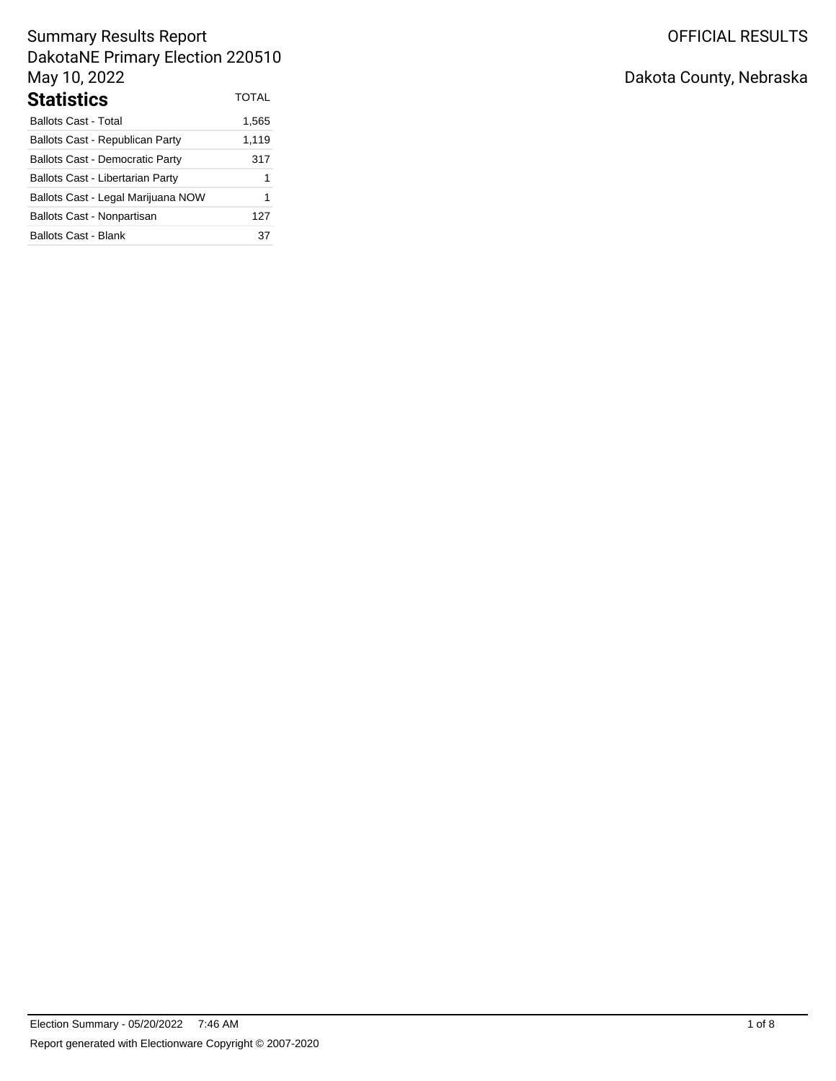# OFFICIAL RESULTS

## Summary Results Report DakotaNE Primary Election 220510 May 10, 2022 **Statistics** TOTAL

| əlalislics                              | .     |
|-----------------------------------------|-------|
| <b>Ballots Cast - Total</b>             | 1,565 |
| <b>Ballots Cast - Republican Party</b>  | 1,119 |
| <b>Ballots Cast - Democratic Party</b>  | 317   |
| <b>Ballots Cast - Libertarian Party</b> | 1     |
| Ballots Cast - Legal Marijuana NOW      | 1     |
| Ballots Cast - Nonpartisan              | 127   |
| Ballots Cast - Blank                    | 37    |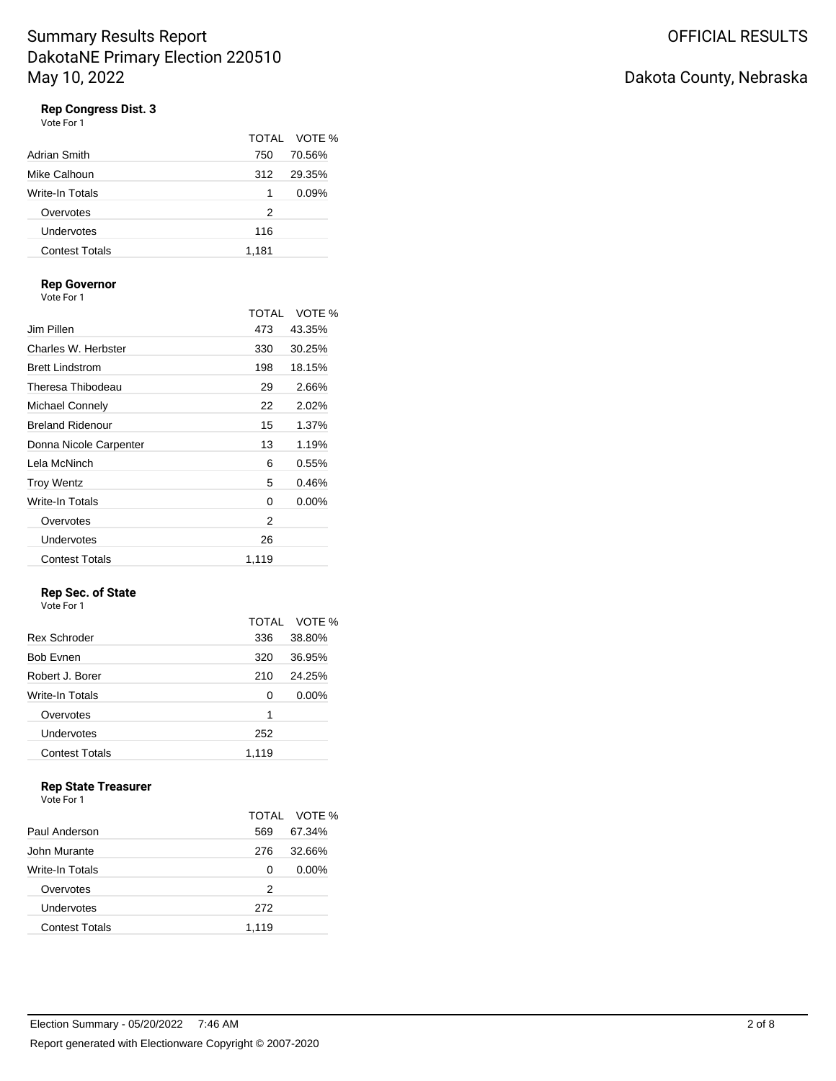Vote For 1

|                       |       | TOTAL VOTE % |
|-----------------------|-------|--------------|
| Adrian Smith          | 750   | 70.56%       |
| Mike Calhoun          | 312   | 29.35%       |
| Write-In Totals       | 1     | 0.09%        |
| Overvotes             | 2     |              |
| Undervotes            | 116   |              |
| <b>Contest Totals</b> | 1,181 |              |

## **Rep Governor**

Vote For 1

|                         | TOTAI | VOTF %   |
|-------------------------|-------|----------|
| Jim Pillen              | 473   | 43.35%   |
| Charles W. Herbster     | 330   | 30.25%   |
| <b>Brett Lindstrom</b>  | 198   | 18.15%   |
| Theresa Thibodeau       | 29    | 2.66%    |
| Michael Connely         | 22    | 2.02%    |
| <b>Breland Ridenour</b> | 15    | 1.37%    |
| Donna Nicole Carpenter  | 13    | 1.19%    |
| Lela McNinch            | 6     | 0.55%    |
| <b>Troy Wentz</b>       | 5     | 0.46%    |
| Write-In Totals         | 0     | $0.00\%$ |
| Overvotes               | 2     |          |
| Undervotes              | 26    |          |
| <b>Contest Totals</b>   | 1,119 |          |

#### **Rep Sec. of State** Vote For 1

|                       | <b>TOTAL</b> | VOTE %   |
|-----------------------|--------------|----------|
| <b>Rex Schroder</b>   | 336          | 38.80%   |
| <b>Bob Evnen</b>      | 320          | 36.95%   |
| Robert J. Borer       | 210          | 24.25%   |
| Write-In Totals       | 0            | $0.00\%$ |
| Overvotes             | 1            |          |
| Undervotes            | 252          |          |
| <b>Contest Totals</b> | 1,119        |          |
|                       |              |          |

## **Rep State Treasurer**

Vote For 1

|                       |       | TOTAL VOTE % |
|-----------------------|-------|--------------|
| Paul Anderson         | 569   | 67.34%       |
| John Murante          | 276   | 32.66%       |
| Write-In Totals       | 0     | $0.00\%$     |
| Overvotes             | 2     |              |
| Undervotes            | 272   |              |
| <b>Contest Totals</b> | 1,119 |              |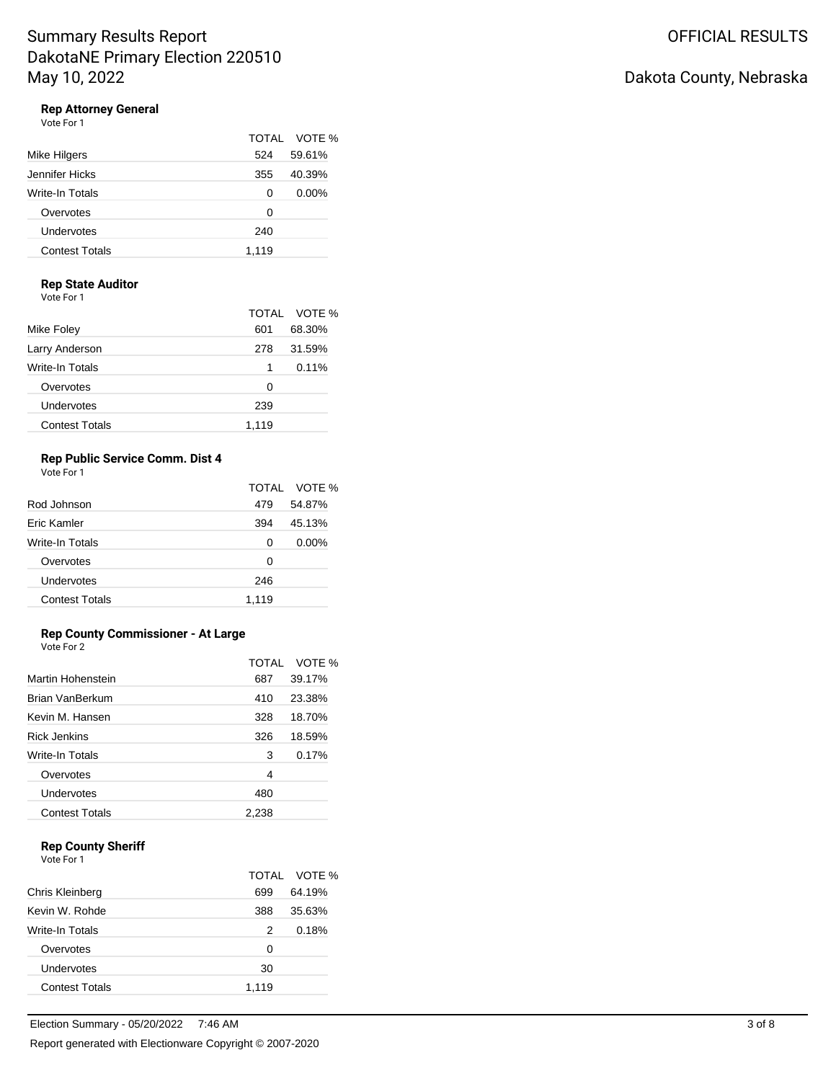Vote For 1

|                       |       | TOTAL VOTE % |
|-----------------------|-------|--------------|
| Mike Hilgers          | 524   | 59.61%       |
| Jennifer Hicks        | 355   | 40.39%       |
| Write-In Totals       | 0     | $0.00\%$     |
| Overvotes             | 0     |              |
| Undervotes            | 240   |              |
| <b>Contest Totals</b> | 1.119 |              |

### **Rep State Auditor**

Vote For 1

|                       |       | TOTAL VOTE % |
|-----------------------|-------|--------------|
| Mike Foley            | 601   | 68.30%       |
| Larry Anderson        | 278   | 31.59%       |
| Write-In Totals       | 1     | 0.11%        |
| Overvotes             | Ω     |              |
| Undervotes            | 239   |              |
| <b>Contest Totals</b> | 1.119 |              |

## **Rep Public Service Comm. Dist 4**

Vote For 1

|                       |       | TOTAL VOTE % |
|-----------------------|-------|--------------|
| Rod Johnson           | 479   | 54.87%       |
| Fric Kamler           | 394   | 45.13%       |
| Write-In Totals       | 0     | $0.00\%$     |
| Overvotes             | Ω     |              |
| Undervotes            | 246   |              |
| <b>Contest Totals</b> | 1.119 |              |

## **Rep County Commissioner - At Large**

Vote For 2

|                       | TOTAI | VOTE % |
|-----------------------|-------|--------|
| Martin Hohenstein     | 687   | 39.17% |
| Brian VanBerkum       | 410   | 23.38% |
| Kevin M. Hansen       | 328   | 18.70% |
| <b>Rick Jenkins</b>   | 326   | 18.59% |
| Write-In Totals       | 3     | 0.17%  |
| Overvotes             | 4     |        |
| Undervotes            | 480   |        |
| <b>Contest Totals</b> | 2,238 |        |

## **Rep County Sheriff**

Vote For 1

|                       |       | TOTAL VOTE % |
|-----------------------|-------|--------------|
| Chris Kleinberg       | 699   | 64.19%       |
| Kevin W. Rohde        | 388   | 35.63%       |
| Write-In Totals       | 2     | 0.18%        |
| Overvotes             | 0     |              |
| Undervotes            | 30    |              |
| <b>Contest Totals</b> | 1.119 |              |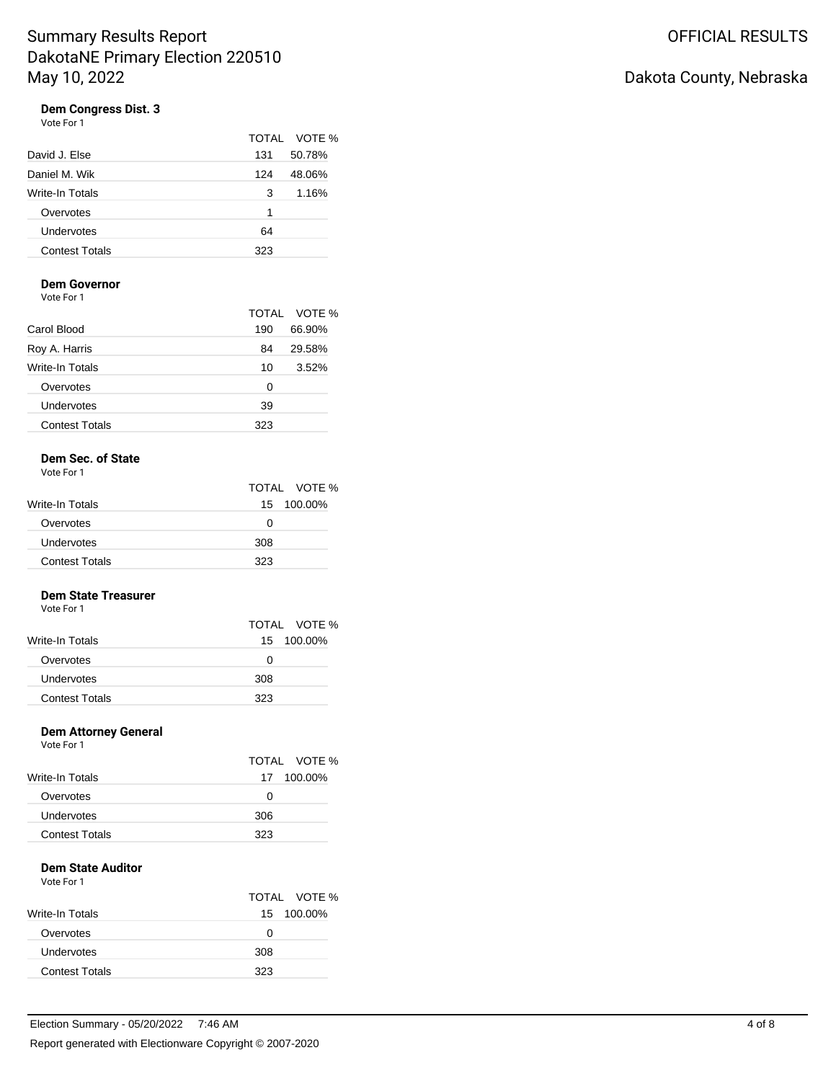Vote For 1

|                       |     | TOTAL VOTE % |
|-----------------------|-----|--------------|
| David J. Else         | 131 | 50.78%       |
| Daniel M. Wik         | 124 | 48.06%       |
| Write-In Totals       | 3   | 1.16%        |
| Overvotes             | 1   |              |
| Undervotes            | 64  |              |
| <b>Contest Totals</b> | 323 |              |
|                       |     |              |

## **Dem Governor**

Vote For 1

|                       |     | TOTAL VOTE % |
|-----------------------|-----|--------------|
| Carol Blood           | 190 | 66.90%       |
| Roy A. Harris         | 84  | 29.58%       |
| Write-In Totals       | 10  | 3.52%        |
| Overvotes             | 0   |              |
| Undervotes            | 39  |              |
| <b>Contest Totals</b> | 323 |              |

## **Dem Sec. of State**

Vote For 1

|                        |     | TOTAL VOTE % |
|------------------------|-----|--------------|
| <b>Write-In Totals</b> |     | 15 100.00%   |
| Overvotes              | O   |              |
| Undervotes             | 308 |              |
| <b>Contest Totals</b>  | 323 |              |

## **Dem State Treasurer**

Vote For 1

|                       | TOTAL VOTE % |  |
|-----------------------|--------------|--|
| Write-In Totals       | 15 100.00%   |  |
| Overvotes             | Ω            |  |
| <b>Undervotes</b>     | 308          |  |
| <b>Contest Totals</b> | 323          |  |

## **Dem Attorney General**

Vote For 1

|                        |     | TOTAL VOTE % |
|------------------------|-----|--------------|
| <b>Write-In Totals</b> |     | 17 100.00%   |
| Overvotes              | 0   |              |
| Undervotes             | 306 |              |
| <b>Contest Totals</b>  | 323 |              |

## **Dem State Auditor**

Vote For 1

|                       |              | TOTAL VOTE % |
|-----------------------|--------------|--------------|
| Write-In Totals       |              | 15 100.00%   |
| Overvotes             | $\mathbf{0}$ |              |
| Undervotes            | 308          |              |
| <b>Contest Totals</b> | 323          |              |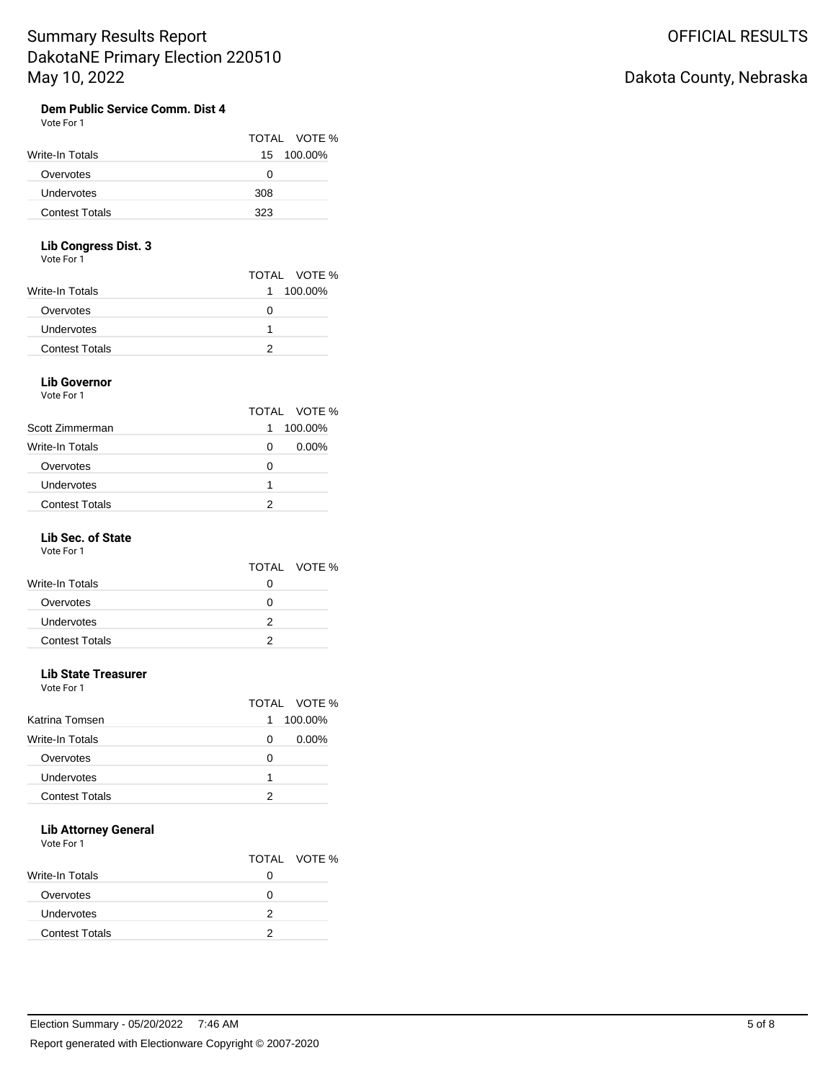# Dakota County, Nebraska

#### **Dem Public Service Comm. Dist 4** Vote For 1

|                       |     | TOTAL VOTE % |
|-----------------------|-----|--------------|
| Write-In Totals       |     | 15 100.00%   |
| Overvotes             | 0   |              |
| <b>Undervotes</b>     | 308 |              |
| <b>Contest Totals</b> | 323 |              |

## **Lib Congress Dist. 3**

Vote For 1

| TOTAL VOTE %  |
|---------------|
| 100.00%<br>1. |
| 0             |
|               |
|               |
|               |

#### **Lib Governor** Vote For 1

|                       | TOTAL VOTE %  |  |
|-----------------------|---------------|--|
| Scott Zimmerman       | 100.00%<br>1  |  |
| Write-In Totals       | $0.00\%$<br>0 |  |
| Overvotes             | O             |  |
| Undervotes            |               |  |
| <b>Contest Totals</b> |               |  |

### **Lib Sec. of State**

Vote For 1

|                       |   | TOTAL VOTE % |
|-----------------------|---|--------------|
| Write-In Totals       |   |              |
| Overvotes             |   |              |
| Undervotes            | 2 |              |
| <b>Contest Totals</b> |   |              |

### **Lib State Treasurer**

Vote For 1

|                       |   | TOTAL VOTE % |
|-----------------------|---|--------------|
| Katrina Tomsen        | 1 | 100.00%      |
| Write-In Totals       | 0 | $0.00\%$     |
| Overvotes             | O |              |
| Undervotes            | 1 |              |
| <b>Contest Totals</b> |   |              |

## **Lib Attorney General**

Vote For 1

|                       |   | TOTAL VOTE % |
|-----------------------|---|--------------|
| Write-In Totals       |   |              |
| Overvotes             |   |              |
| Undervotes            | 2 |              |
| <b>Contest Totals</b> |   |              |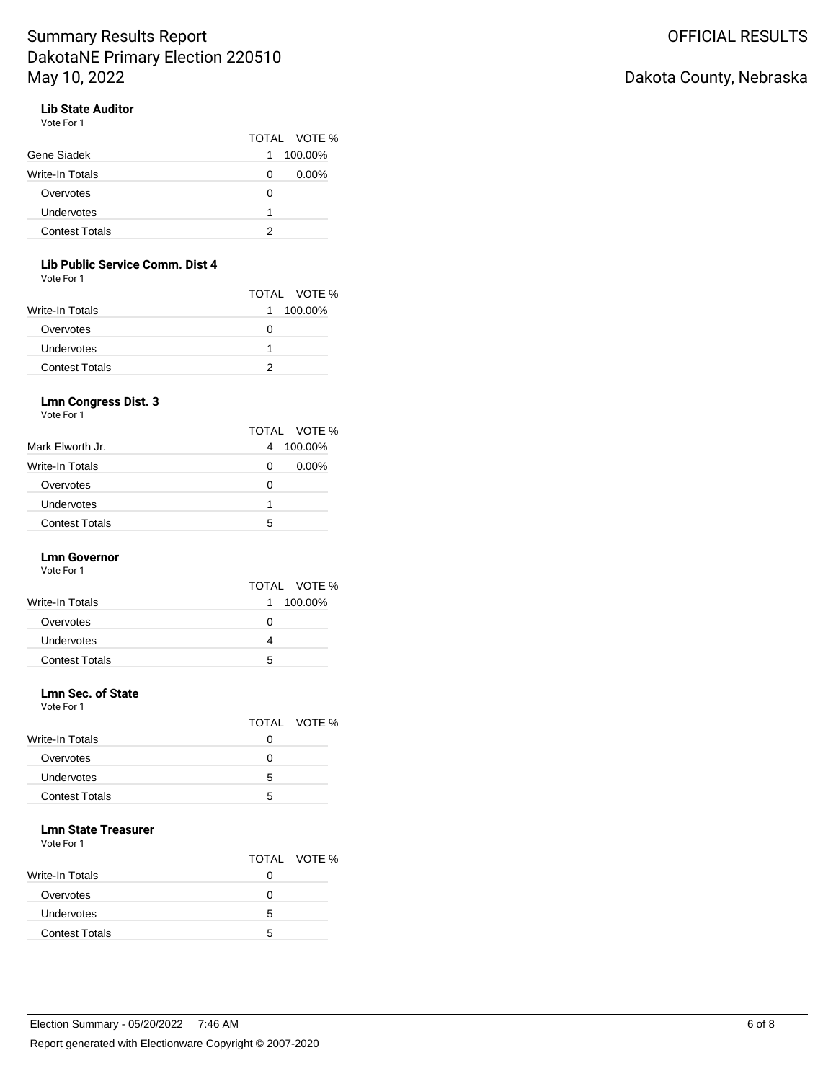# Dakota County, Nebraska

## **Lib State Auditor**

Vote For 1

|                       | TOTAL VOTE %  |
|-----------------------|---------------|
| Gene Siadek           | 100.00%<br>1  |
| Write-In Totals       | $0.00\%$<br>0 |
| Overvotes             | 0             |
| Undervotes            |               |
| <b>Contest Totals</b> |               |

## **Lib Public Service Comm. Dist 4**

Vote For 1

|                       | TOTAL VOTE % |
|-----------------------|--------------|
| Write-In Totals       | 1 100.00%    |
| Overvotes             | 0            |
| Undervotes            |              |
| <b>Contest Totals</b> |              |

### **Lmn Congress Dist. 3**

Vote For 1

|                       |   | TOTAL VOTE % |
|-----------------------|---|--------------|
| Mark Elworth Jr.      | 4 | 100.00%      |
| Write-In Totals       | 0 | $0.00\%$     |
| Overvotes             | 0 |              |
| Undervotes            | 1 |              |
| <b>Contest Totals</b> | 5 |              |

## **Lmn Governor**

Vote For 1

|                        | TOTAL VOTE %  |
|------------------------|---------------|
| <b>Write-In Totals</b> | 100.00%<br>1. |
| Overvotes              | 0             |
| Undervotes             |               |
| <b>Contest Totals</b>  | 5             |
|                        |               |

## **Lmn Sec. of State**

Vote For 1

|                        |                   | TOTAL VOTE % |
|------------------------|-------------------|--------------|
| <b>Write-In Totals</b> | 0                 |              |
| Overvotes              | $\mathbf{\Omega}$ |              |
| Undervotes             | 5                 |              |
| <b>Contest Totals</b>  | ∽                 |              |

## **Lmn State Treasurer**

Vote For 1

| TOTAL VOTE %               |  |
|----------------------------|--|
| Write-In Totals            |  |
| Overvotes                  |  |
| Undervotes<br>5            |  |
| <b>Contest Totals</b><br>5 |  |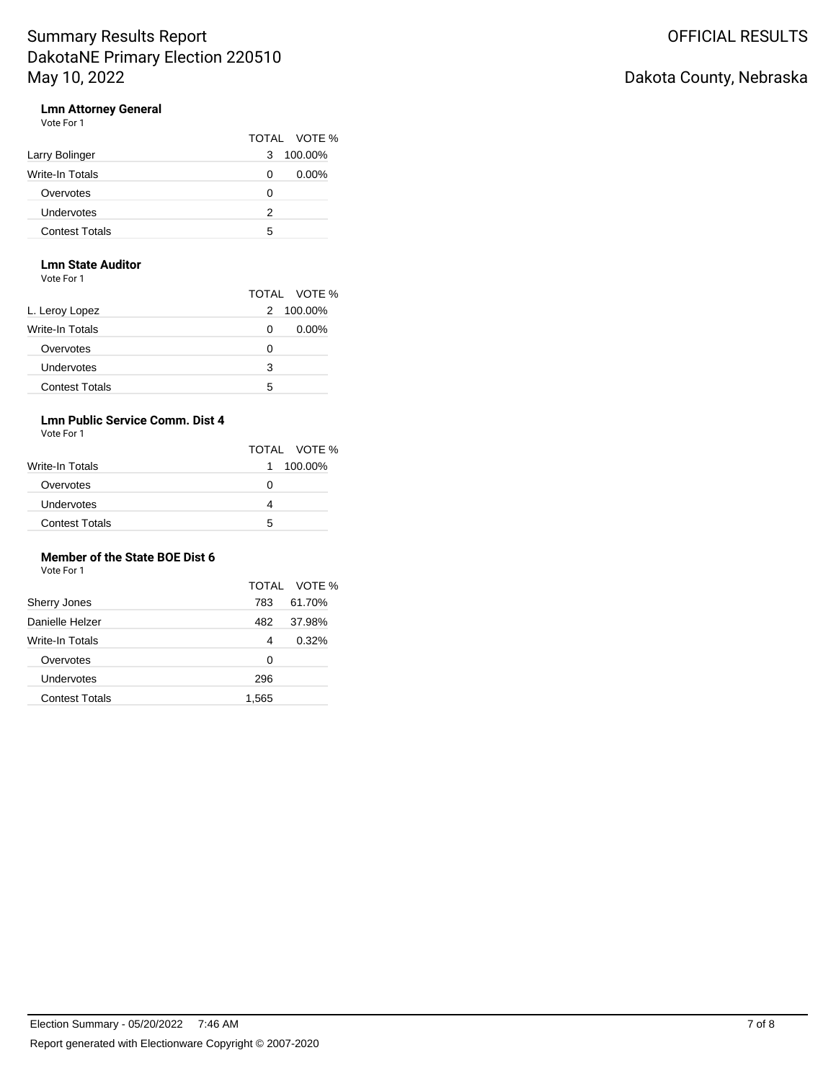# Dakota County, Nebraska

# **Lmn Attorney General**<br>Vote For 1

| Vote For 1 |  |  |
|------------|--|--|
|------------|--|--|

|                       | TOTAL VOTE %  |  |
|-----------------------|---------------|--|
| Larry Bolinger        | 100.00%<br>3  |  |
| Write-In Totals       | $0.00\%$<br>0 |  |
| Overvotes             | 0             |  |
| Undervotes            | 2             |  |
| <b>Contest Totals</b> | 5             |  |

## **Lmn State Auditor**

Vote For 1

|                       |   | TOTAL VOTE % |
|-----------------------|---|--------------|
| L. Leroy Lopez        | 2 | 100.00%      |
| Write-In Totals       | 0 | $0.00\%$     |
| Overvotes             | 0 |              |
| Undervotes            | 3 |              |
| <b>Contest Totals</b> | 5 |              |

## **Lmn Public Service Comm. Dist 4**

Vote For 1

|                       | TOTAL VOTE %  |
|-----------------------|---------------|
| Write-In Totals       | 100.00%<br>1. |
| Overvotes             | O             |
| <b>Undervotes</b>     |               |
| <b>Contest Totals</b> | 5             |

## **Member of the State BOE Dist 6**

Vote For 1

|                       |       | TOTAL VOTE % |
|-----------------------|-------|--------------|
| <b>Sherry Jones</b>   | 783   | 61.70%       |
| Danielle Helzer       | 482   | 37.98%       |
| Write-In Totals       | 4     | 0.32%        |
| Overvotes             | 0     |              |
| Undervotes            | 296   |              |
| <b>Contest Totals</b> | 1,565 |              |